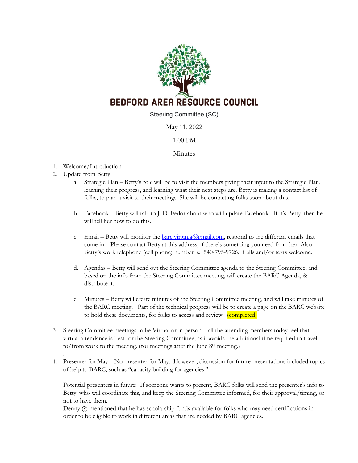

Steering Committee (SC)

May 11, 2022

## 1:00 PM

## **Minutes**

- 1. Welcome/Introduction
- 2. Update from Betty

.

- a. Strategic Plan Betty's role will be to visit the members giving their input to the Strategic Plan, learning their progress, and learning what their next steps are. Betty is making a contact list of folks, to plan a visit to their meetings. She will be contacting folks soon about this.
- b. Facebook Betty will talk to J. D. Fedor about who will update Facebook. If it's Betty, then he will tell her how to do this.
- c. Email Betty will monitor the  $\frac{bar.c}{sigma@gmail.com}$ , respond to the different emails that come in. Please contact Betty at this address, if there's something you need from her. Also – Betty's work telephone (cell phone) number is: 540-795-9726. Calls and/or texts welcome.
- d. Agendas Betty will send out the Steering Committee agenda to the Steering Committee; and based on the info from the Steering Committee meeting, will create the BARC Agenda, & distribute it.
- e. Minutes Betty will create minutes of the Steering Committee meeting, and will take minutes of the BARC meeting. Part of the technical progress will be to create a page on the BARC website to hold these documents, for folks to access and review. (completed)
- 3. Steering Committee meetings to be Virtual or in person all the attending members today feel that virtual attendance is best for the Steering Committee, as it avoids the additional time required to travel to/from work to the meeting. (for meetings after the June 8th meeting.)
- 4. Presenter for May No presenter for May. However, discussion for future presentations included topics of help to BARC, such as "capacity building for agencies."

Potential presenters in future: If someone wants to present, BARC folks will send the presenter's info to Betty, who will coordinate this, and keep the Steering Committee informed, for their approval/timing, or not to have them.

Denny (?) mentioned that he has scholarship funds available for folks who may need certifications in order to be eligible to work in different areas that are needed by BARC agencies.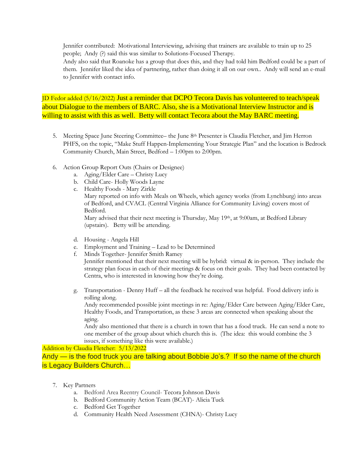Jennifer contributed: Motivational Interviewing, advising that trainers are available to train up to 25 people; Andy (?) said this was similar to Solutions-Focused Therapy.

Andy also said that Roanoke has a group that does this, and they had told him Bedford could be a part of them. Jennifer liked the idea of partnering, rather than doing it all on our own.. Andy will send an e-mail to Jennifer with contact info.

JD Fedor added (5/16/2022) Just a reminder that DCPO Tecora Davis has volunteered to teach/speak about Dialogue to the members of BARC. Also, she is a Motivational Interview Instructor and is willing to assist with this as well. Betty will contact Tecora about the May BARC meeting.

- 5. Meeting Space June Steering Committee– the June 8th Presenter is Claudia Fletcher, and Jim Herron PHFS, on the topic, "Make Stuff Happen-Implementing Your Strategic Plan" and the location is Bedrock Community Church, Main Street, Bedford – 1:00pm to 2:00pm.
- 6. Action Group Report Outs (Chairs or Designee)
	- a. Aging/Elder Care Christy Lucy
	- b. Child Care- Holly Woods Layne
	- c. Healthy Foods Mary Zirkle

Mary reported on info with Meals on Wheels, which agency works (from Lynchburg) into areas of Bedford, and CVACL (Central Virginia Alliance for Community Living) covers most of Bedford.

Mary advised that their next meeting is Thursday, May 19<sup>th</sup>, at 9:00am, at Bedford Library (upstairs). Betty will be attending.

- d. Housing Angela Hill
- e. Employment and Training Lead to be Determined
- f. Minds Together- Jennifer Smith Ramey

Jennifer mentioned that their next meeting will be hybrid: virtual & in-person. They include the strategy plan focus in each of their meetings & focus on their goals. They had been contacted by Centra, who is interested in knowing how they're doing.

g. Transportation - Denny Huff – all the feedback he received was helpful. Food delivery info is rolling along.

Andy recommended possible joint meetings in re: Aging/Elder Care between Aging/Elder Care, Healthy Foods, and Transportation, as these 3 areas are connected when speaking about the aging.

Andy also mentioned that there is a church in town that has a food truck. He can send a note to one member of the group about which church this is. (The idea: this would combine the 3 issues, if something like this were available.)

Addition by Claudia Fletcher: 5/13/2022

Andy — is the food truck you are talking about Bobbie Jo's.? If so the name of the church is Legacy Builders Church…

- 7. Key Partners
	- a. Bedford Area Reentry Council- Tecora Johnson Davis
	- b. Bedford Community Action Team (BCAT)- Alicia Tuck
	- c. Bedford Get Together
	- d. Community Health Need Assessment (CHNA)- Christy Lucy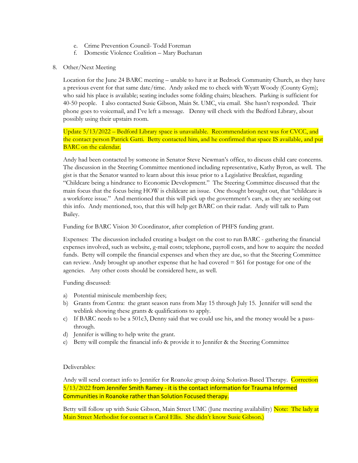- e. Crime Prevention Council- Todd Foreman
- f. Domestic Violence Coalition Mary Buchanan
- 8. Other/Next Meeting

Location for the June 24 BARC meeting – unable to have it at Bedrock Community Church, as they have a previous event for that same date/time. Andy asked me to check with Wyatt Woody (County Gym); who said his place is available; seating includes some folding chairs; bleachers. Parking is sufficient for 40-50 people. I also contacted Susie Gibson, Main St. UMC, via email. She hasn't responded. Their phone goes to voicemail, and I've left a message. Denny will check with the Bedford Library, about possibly using their upstairs room.

Update  $5/13/2022$  – Bedford Library space is unavailable. Recommendation next was for CVCC, and the contact person Patrick Gatti. Betty contacted him, and he confirmed that space IS available, and put BARC on the calendar.

Andy had been contacted by someone in Senator Steve Newman's office, to discuss child care concerns. The discussion in the Steering Committee mentioned including representative, Kathy Byron, as well. The gist is that the Senator wanted to learn about this issue prior to a Legislative Breakfast, regarding "Childcare being a hindrance to Economic Development." The Steering Committee discussed that the main focus that the focus being HOW is childcare an issue. One thought brought out, that "childcare is a workforce issue." And mentioned that this will pick up the government's ears, as they are seeking out this info. Andy mentioned, too, that this will help get BARC on their radar. Andy will talk to Pam Bailey.

Funding for BARC Vision 30 Coordinator, after completion of PHFS funding grant.

Expenses: The discussion included creating a budget on the cost to run BARC - gathering the financial expenses involved, such as website, g-mail costs; telephone, payroll costs, and how to acquire the needed funds. Betty will compile the financial expenses and when they are due, so that the Steering Committee can review. Andy brought up another expense that he had covered  $= $61$  for postage for one of the agencies. Any other costs should be considered here, as well.

Funding discussed:

- a) Potential miniscule membership fees;
- b) Grants from Centra: the grant season runs from May 15 through July 15. Jennifer will send the weblink showing these grants & qualifications to apply.
- c) If BARC needs to be a 501c3, Denny said that we could use his, and the money would be a passthrough.
- d) Jennifer is willing to help write the grant.
- e) Betty will compile the financial info & provide it to Jennifer & the Steering Committee

## Deliverables:

Andy will send contact info to Jennifer for Roanoke group doing Solution-Based Therapy. Correction 5/13/2022 from Jennifer Smith Ramey - it is the contact information for Trauma Informed Communities in Roanoke rather than Solution Focused therapy.

Betty will follow up with Susie Gibson, Main Street UMC (June meeting availability) Note: The lady at Main Street Methodist for contact is Carol Ellis. She didn't know Susie Gibson.)